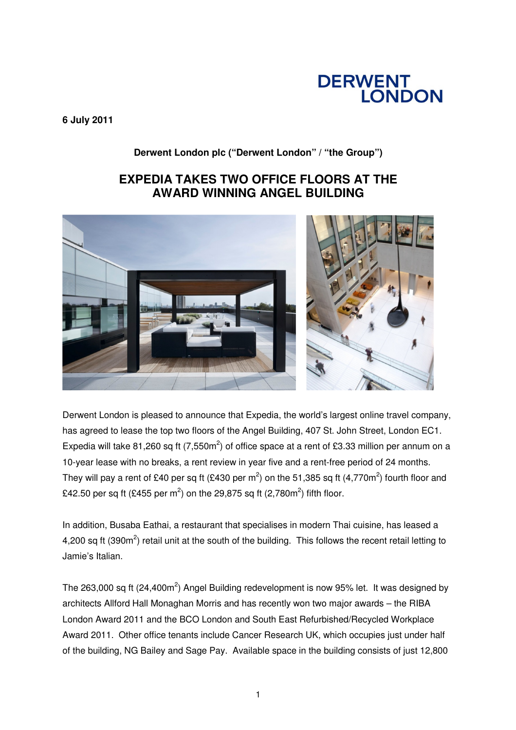# **DERWENT<br>LONDON**

**6 July 2011** 

**Derwent London plc ("Derwent London" / "the Group")**

## **EXPEDIA TAKES TWO OFFICE FLOORS AT THE AWARD WINNING ANGEL BUILDING**



Derwent London is pleased to announce that Expedia, the world's largest online travel company, has agreed to lease the top two floors of the Angel Building, 407 St. John Street, London EC1. Expedia will take 81,260 sq ft (7,550m<sup>2</sup>) of office space at a rent of £3.33 million per annum on a 10-year lease with no breaks, a rent review in year five and a rent-free period of 24 months. They will pay a rent of £40 per sq ft (£430 per m<sup>2</sup>) on the 51,385 sq ft (4,770m<sup>2</sup>) fourth floor and £42.50 per sq ft (£455 per m<sup>2</sup>) on the 29,875 sq ft (2,780m<sup>2</sup>) fifth floor.

In addition, Busaba Eathai, a restaurant that specialises in modern Thai cuisine, has leased a 4,200 sq ft (390m<sup>2</sup>) retail unit at the south of the building. This follows the recent retail letting to Jamie's Italian.

The 263,000 sq ft (24,400m<sup>2</sup>) Angel Building redevelopment is now 95% let. It was designed by architects Allford Hall Monaghan Morris and has recently won two major awards – the RIBA London Award 2011 and the BCO London and South East Refurbished/Recycled Workplace Award 2011. Other office tenants include Cancer Research UK, which occupies just under half of the building, NG Bailey and Sage Pay. Available space in the building consists of just 12,800